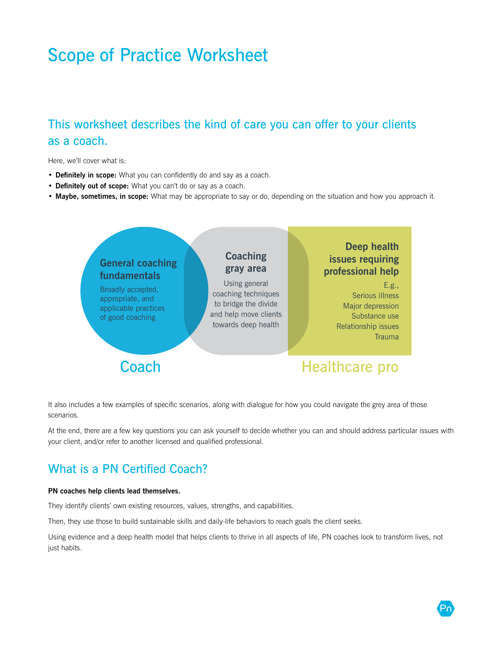# Scope of Practice Worksheet

# This worksheet describes the kind of care you can offer to your clients as a coach.

Here, we'll cover what is:

- **• Definitely in scope:** What you can confidently do and say as a coach.
- **• Definitely out of scope:** What you can't do or say as a coach.
- **• Maybe, sometimes, in scope:** What may be appropriate to say or do, depending on the situation and how you approach it.



It also includes a few examples of specific scenarios, along with dialogue for how you could navigate the grey area of those scenarios.

At the end, there are a few key questions you can ask yourself to decide whether you can and should address particular issues with your client, and/or refer to another licensed and qualified professional.

# What is a PN Certified Coach?

#### **PN coaches help clients lead themselves.**

They identify clients' own existing resources, values, strengths, and capabilities.

Then, they use those to build sustainable skills and daily-life behaviors to reach goals the client seeks.

Using evidence and a deep health model that helps clients to thrive in all aspects of life, PN coaches look to transform lives, not just habits.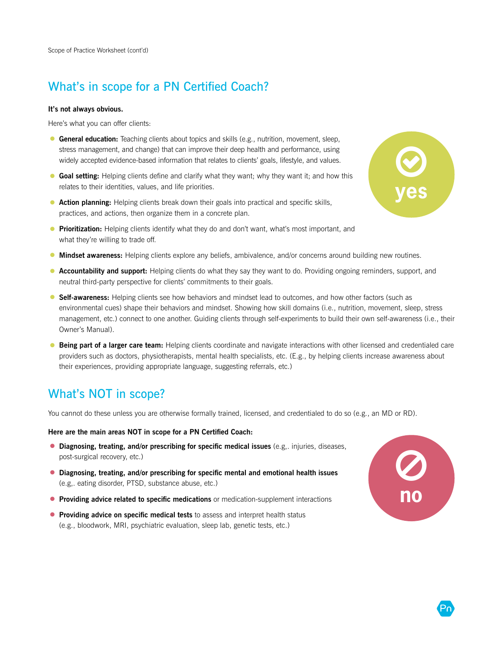# What's in scope for a PN Certified Coach?

### **It's not always obvious.**

Here's what you can offer clients:

- **• General education:** Teaching clients about topics and skills (e.g., nutrition, movement, sleep, stress management, and change) that can improve their deep health and performance, using widely accepted evidence-based information that relates to clients' goals, lifestyle, and values.
- **•** Goal setting: Helping clients define and clarify what they want; why they want it; and how this relates to their identities, values, and life priorities.
- **• Action planning:** Helping clients break down their goals into practical and specific skills, practices, and actions, then organize them in a concrete plan.
- **• Prioritization:** Helping clients identify what they do and don't want, what's most important, and what they're willing to trade off.
- **• Mindset awareness:** Helping clients explore any beliefs, ambivalence, and/or concerns around building new routines.
- **• Accountability and support:** Helping clients do what they say they want to do. Providing ongoing reminders, support, and neutral third-party perspective for clients' commitments to their goals.
- **• Self-awareness:** Helping clients see how behaviors and mindset lead to outcomes, and how other factors (such as environmental cues) shape their behaviors and mindset. Showing how skill domains (i.e., nutrition, movement, sleep, stress management, etc.) connect to one another. Guiding clients through self-experiments to build their own self-awareness (i.e., their Owner's Manual).
- **• Being part of a larger care team:** Helping clients coordinate and navigate interactions with other licensed and credentialed care providers such as doctors, physiotherapists, mental health specialists, etc. (E.g., by helping clients increase awareness about their experiences, providing appropriate language, suggesting referrals, etc.)

# What's NOT in scope?

You cannot do these unless you are otherwise formally trained, licensed, and credentialed to do so (e.g., an MD or RD).

#### **Here are the main areas NOT in scope for a PN Certified Coach:**

- **• Diagnosing, treating, and/or prescribing for specific medical issues** (e.g,. injuries, diseases, post-surgical recovery, etc.)
- **• Diagnosing, treating, and/or prescribing for specific mental and emotional health issues**  (e.g,. eating disorder, PTSD, substance abuse, etc.)
- **• Providing advice related to specific medications** or medication-supplement interactions
- **• Providing advice on specific medical tests** to assess and interpret health status (e.g., bloodwork, MRI, psychiatric evaluation, sleep lab, genetic tests, etc.)



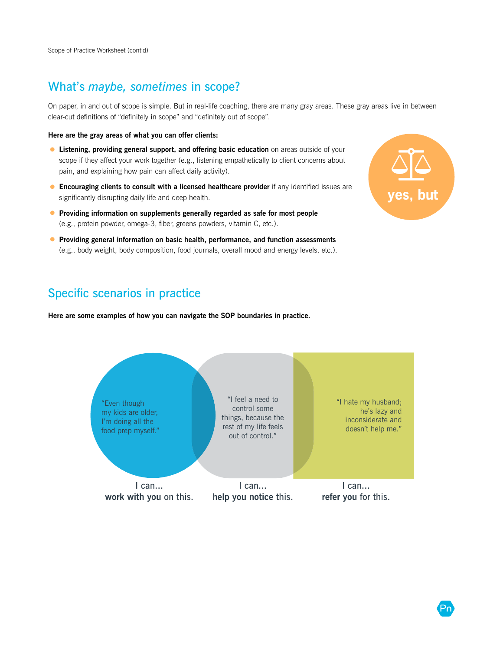# What's *maybe, sometimes* in scope?

On paper, in and out of scope is simple. But in real-life coaching, there are many gray areas. These gray areas live in between clear-cut definitions of "definitely in scope" and "definitely out of scope".

### **Here are the gray areas of what you can offer clients:**

- **• Listening, providing general support, and offering basic education** on areas outside of your scope if they affect your work together (e.g., listening empathetically to client concerns about pain, and explaining how pain can affect daily activity).
- **• Encouraging clients to consult with a licensed healthcare provider** if any identified issues are significantly disrupting daily life and deep health.
- **• Providing information on supplements generally regarded as safe for most people** (e.g., protein powder, omega-3, fiber, greens powders, vitamin C, etc.).
- **• Providing general information on basic health, performance, and function assessments** (e.g., body weight, body composition, food journals, overall mood and energy levels, etc.).

# Specific scenarios in practice

**Here are some examples of how you can navigate the SOP boundaries in practice.**



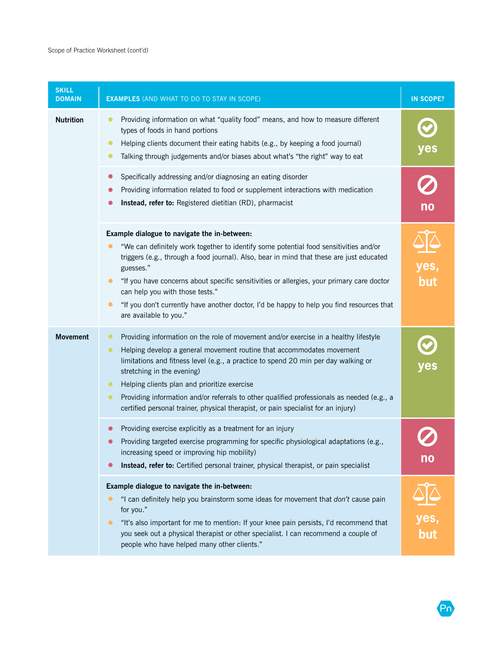| <b>SKILL</b><br><b>DOMAIN</b> | <b>EXAMPLES</b> (AND WHAT TO DO TO STAY IN SCOPE)                                                                                                                                                                                                                                                                                                                                                                                                                                                                                                                        | IN SCOPE?     |
|-------------------------------|--------------------------------------------------------------------------------------------------------------------------------------------------------------------------------------------------------------------------------------------------------------------------------------------------------------------------------------------------------------------------------------------------------------------------------------------------------------------------------------------------------------------------------------------------------------------------|---------------|
| <b>Nutrition</b>              | Providing information on what "quality food" means, and how to measure different<br>types of foods in hand portions<br>Helping clients document their eating habits (e.g., by keeping a food journal)<br>$\bullet$<br>Talking through judgements and/or biases about what's "the right" way to eat<br>$\bullet$                                                                                                                                                                                                                                                          | yes           |
|                               | Specifically addressing and/or diagnosing an eating disorder<br>$\bullet$<br>Providing information related to food or supplement interactions with medication<br>Instead, refer to: Registered dietitian (RD), pharmacist                                                                                                                                                                                                                                                                                                                                                | no            |
|                               | Example dialogue to navigate the in-between:<br>"We can definitely work together to identify some potential food sensitivities and/or<br>triggers (e.g., through a food journal). Also, bear in mind that these are just educated<br>guesses."<br>"If you have concerns about specific sensitivities or allergies, your primary care doctor<br>$\bullet$<br>can help you with those tests."<br>"If you don't currently have another doctor, I'd be happy to help you find resources that<br>$\bullet$<br>are available to you."                                          | but           |
| <b>Movement</b>               | Providing information on the role of movement and/or exercise in a healthy lifestyle<br>$\bullet$<br>Helping develop a general movement routine that accommodates movement<br>$\bullet$<br>limitations and fitness level (e.g., a practice to spend 20 min per day walking or<br>stretching in the evening)<br>Helping clients plan and prioritize exercise<br>$\bullet$<br>Providing information and/or referrals to other qualified professionals as needed (e.g., a<br>$\bullet$<br>certified personal trainer, physical therapist, or pain specialist for an injury) | ves           |
|                               | Providing exercise explicitly as a treatment for an injury<br>$\bullet$<br>Providing targeted exercise programming for specific physiological adaptations (e.g.,<br>increasing speed or improving hip mobility)<br>Instead, refer to: Certified personal trainer, physical therapist, or pain specialist                                                                                                                                                                                                                                                                 | $\mathbf{no}$ |
|                               | Example dialogue to navigate the in-between:<br>"I can definitely help you brainstorm some ideas for movement that don't cause pain<br>for you."<br>"It's also important for me to mention: If your knee pain persists, I'd recommend that<br>$\bullet$<br>you seek out a physical therapist or other specialist. I can recommend a couple of<br>people who have helped many other clients."                                                                                                                                                                             | yes<br>but    |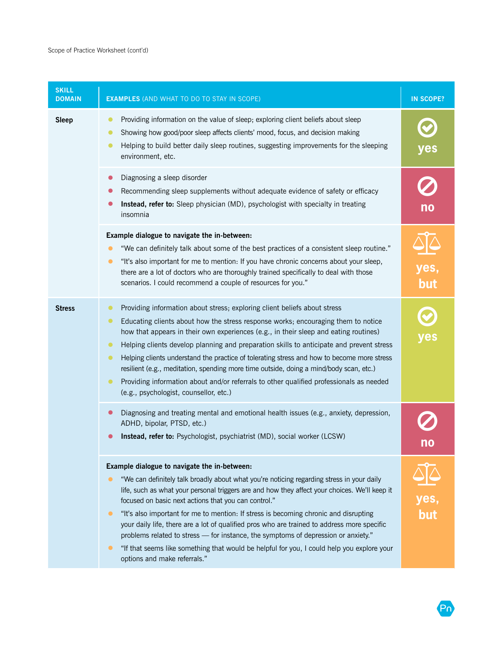| <b>SKILL</b><br><b>DOMAIN</b> | <b>EXAMPLES (AND WHAT TO DO TO STAY IN SCOPE)</b>                                                                                                                                                                                                                                                                                                                                                                                                                                                                                                                                                                                                                                                                                                | <b>IN SCOPE?</b> |
|-------------------------------|--------------------------------------------------------------------------------------------------------------------------------------------------------------------------------------------------------------------------------------------------------------------------------------------------------------------------------------------------------------------------------------------------------------------------------------------------------------------------------------------------------------------------------------------------------------------------------------------------------------------------------------------------------------------------------------------------------------------------------------------------|------------------|
| <b>Sleep</b>                  | Providing information on the value of sleep; exploring client beliefs about sleep<br>$\bullet$<br>Showing how good/poor sleep affects clients' mood, focus, and decision making<br>$\bullet$<br>Helping to build better daily sleep routines, suggesting improvements for the sleeping<br>$\bullet$<br>environment, etc.                                                                                                                                                                                                                                                                                                                                                                                                                         | /es              |
|                               | Diagnosing a sleep disorder<br>$\bullet$<br>Recommending sleep supplements without adequate evidence of safety or efficacy<br>Instead, refer to: Sleep physician (MD), psychologist with specialty in treating<br>insomnia                                                                                                                                                                                                                                                                                                                                                                                                                                                                                                                       | no               |
|                               | Example dialogue to navigate the in-between:<br>"We can definitely talk about some of the best practices of a consistent sleep routine."<br>"It's also important for me to mention: If you have chronic concerns about your sleep,<br>$\bullet$<br>there are a lot of doctors who are thoroughly trained specifically to deal with those<br>scenarios. I could recommend a couple of resources for you."                                                                                                                                                                                                                                                                                                                                         | but              |
| <b>Stress</b>                 | Providing information about stress; exploring client beliefs about stress<br>$\bullet$<br>Educating clients about how the stress response works; encouraging them to notice<br>$\bullet$<br>how that appears in their own experiences (e.g., in their sleep and eating routines)<br>Helping clients develop planning and preparation skills to anticipate and prevent stress<br>$\bullet$<br>Helping clients understand the practice of tolerating stress and how to become more stress<br>$\bullet$<br>resilient (e.g., meditation, spending more time outside, doing a mind/body scan, etc.)<br>Providing information about and/or referrals to other qualified professionals as needed<br>$\bullet$<br>(e.g., psychologist, counsellor, etc.) |                  |
|                               | Diagnosing and treating mental and emotional health issues (e.g., anxiety, depression,<br>$\bullet$<br>ADHD, bipolar, PTSD, etc.)<br>Instead, refer to: Psychologist, psychiatrist (MD), social worker (LCSW)                                                                                                                                                                                                                                                                                                                                                                                                                                                                                                                                    | 110              |
|                               | Example dialogue to navigate the in-between:<br>"We can definitely talk broadly about what you're noticing regarding stress in your daily<br>life, such as what your personal triggers are and how they affect your choices. We'll keep it<br>focused on basic next actions that you can control."<br>"It's also important for me to mention: If stress is becoming chronic and disrupting<br>$\bullet$<br>your daily life, there are a lot of qualified pros who are trained to address more specific<br>problems related to stress - for instance, the symptoms of depression or anxiety."<br>"If that seems like something that would be helpful for you, I could help you explore your<br>$\bullet$<br>options and make referrals."          | Ves,<br>but      |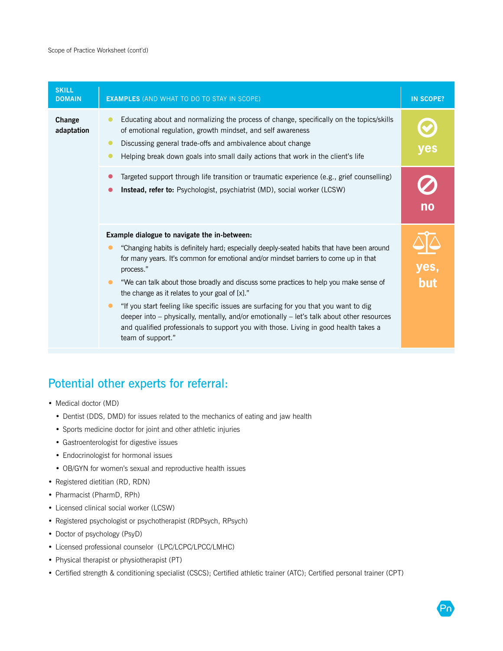| <b>SKILL</b><br><b>DOMAIN</b> | <b>EXAMPLES (AND WHAT TO DO TO STAY IN SCOPE)</b>                                                                                                                                                                                                                                                                                                                                                                                                                                                                                                                                                                                                                                                              | <b>IN SCOPE?</b> |
|-------------------------------|----------------------------------------------------------------------------------------------------------------------------------------------------------------------------------------------------------------------------------------------------------------------------------------------------------------------------------------------------------------------------------------------------------------------------------------------------------------------------------------------------------------------------------------------------------------------------------------------------------------------------------------------------------------------------------------------------------------|------------------|
| Change<br>adaptation          | Educating about and normalizing the process of change, specifically on the topics/skills<br>of emotional regulation, growth mindset, and self awareness<br>Discussing general trade-offs and ambivalence about change<br>$\bullet$<br>Helping break down goals into small daily actions that work in the client's life                                                                                                                                                                                                                                                                                                                                                                                         |                  |
|                               | Targeted support through life transition or traumatic experience (e.g., grief counselling)<br>Instead, refer to: Psychologist, psychiatrist (MD), social worker (LCSW)                                                                                                                                                                                                                                                                                                                                                                                                                                                                                                                                         | $\mathbf{n}$     |
|                               | Example dialogue to navigate the in-between:<br>"Changing habits is definitely hard; especially deeply-seated habits that have been around<br>for many years. It's common for emotional and/or mindset barriers to come up in that<br>process."<br>"We can talk about those broadly and discuss some practices to help you make sense of<br>$\bullet$<br>the change as it relates to your goal of [x]."<br>"If you start feeling like specific issues are surfacing for you that you want to dig<br>deeper into $-$ physically, mentally, and/or emotionally $-$ let's talk about other resources<br>and qualified professionals to support you with those. Living in good health takes a<br>team of support." | yes,<br>but      |

# Potential other experts for referral:

- Medical doctor (MD)
	- Dentist (DDS, DMD) for issues related to the mechanics of eating and jaw health
	- Sports medicine doctor for joint and other athletic injuries
	- Gastroenterologist for digestive issues
	- Endocrinologist for hormonal issues
	- OB/GYN for women's sexual and reproductive health issues
- Registered dietitian (RD, RDN)
- Pharmacist (PharmD, RPh)
- Licensed clinical social worker (LCSW)
- Registered psychologist or psychotherapist (RDPsych, RPsych)
- Doctor of psychology (PsyD)
- Licensed professional counselor (LPC/LCPC/LPCC/LMHC)
- Physical therapist or physiotherapist (PT)
- Certified strength & conditioning specialist (CSCS); Certified athletic trainer (ATC); Certified personal trainer (CPT)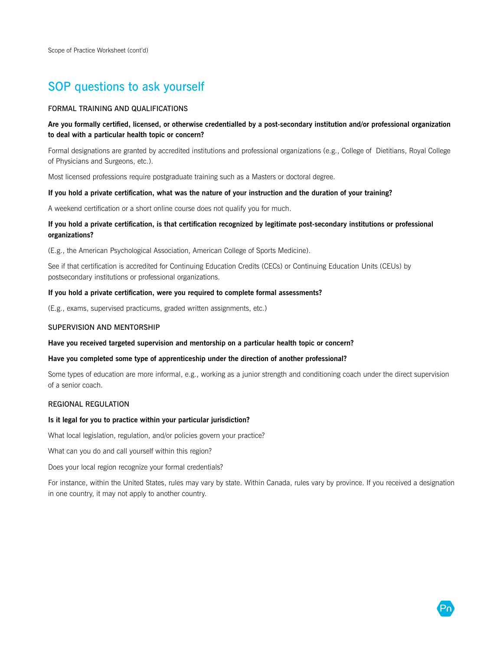## SOP questions to ask yourself

### FORMAL TRAINING AND QUALIFICATIONS

### **Are you formally certified, licensed, or otherwise credentialled by a post-secondary institution and/or professional organization to deal with a particular health topic or concern?**

Formal designations are granted by accredited institutions and professional organizations (e.g., College of Dietitians, Royal College of Physicians and Surgeons, etc.).

Most licensed professions require postgraduate training such as a Masters or doctoral degree.

#### **If you hold a private certification, what was the nature of your instruction and the duration of your training?**

A weekend certification or a short online course does not qualify you for much.

### **If you hold a private certification, is that certification recognized by legitimate post-secondary institutions or professional organizations?**

(E.g., the American Psychological Association, American College of Sports Medicine).

See if that certification is accredited for Continuing Education Credits (CECs) or Continuing Education Units (CEUs) by postsecondary institutions or professional organizations.

#### **If you hold a private certification, were you required to complete formal assessments?**

(E.g., exams, supervised practicums, graded written assignments, etc.)

#### SUPERVISION AND MENTORSHIP

#### **Have you received targeted supervision and mentorship on a particular health topic or concern?**

#### **Have you completed some type of apprenticeship under the direction of another professional?**

Some types of education are more informal, e.g., working as a junior strength and conditioning coach under the direct supervision of a senior coach.

### REGIONAL REGULATION

#### **Is it legal for you to practice within your particular jurisdiction?**

What local legislation, regulation, and/or policies govern your practice?

What can you do and call yourself within this region?

Does your local region recognize your formal credentials?

For instance, within the United States, rules may vary by state. Within Canada, rules vary by province. If you received a designation in one country, it may not apply to another country.